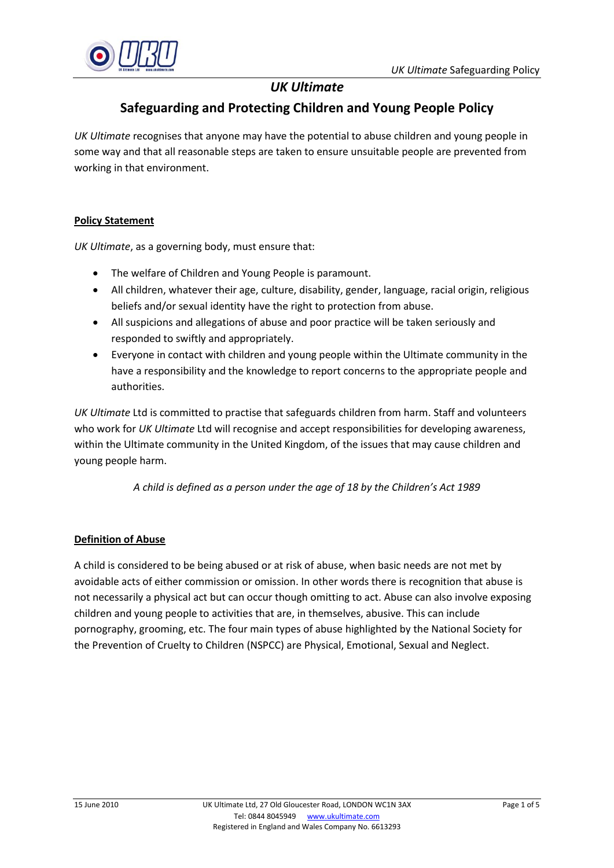

# *UK Ultimate*

## **Safeguarding and Protecting Children and Young People Policy**

*UK Ultimate* recognises that anyone may have the potential to abuse children and young people in some way and that all reasonable steps are taken to ensure unsuitable people are prevented from working in that environment.

## **Policy Statement**

*UK Ultimate*, as a governing body, must ensure that:

- The welfare of Children and Young People is paramount.
- All children, whatever their age, culture, disability, gender, language, racial origin, religious beliefs and/or sexual identity have the right to protection from abuse.
- All suspicions and allegations of abuse and poor practice will be taken seriously and responded to swiftly and appropriately.
- Everyone in contact with children and young people within the Ultimate community in the have a responsibility and the knowledge to report concerns to the appropriate people and authorities.

*UK Ultimate* Ltd is committed to practise that safeguards children from harm. Staff and volunteers who work for *UK Ultimate* Ltd will recognise and accept responsibilities for developing awareness, within the Ultimate community in the United Kingdom, of the issues that may cause children and young people harm.

*A child is defined as a person under the age of 18 by the Children's Act 1989*

## **Definition of Abuse**

A child is considered to be being abused or at risk of abuse, when basic needs are not met by avoidable acts of either commission or omission. In other words there is recognition that abuse is not necessarily a physical act but can occur though omitting to act. Abuse can also involve exposing children and young people to activities that are, in themselves, abusive. This can include pornography, grooming, etc. The four main types of abuse highlighted by the National Society for the Prevention of Cruelty to Children (NSPCC) are Physical, Emotional, Sexual and Neglect.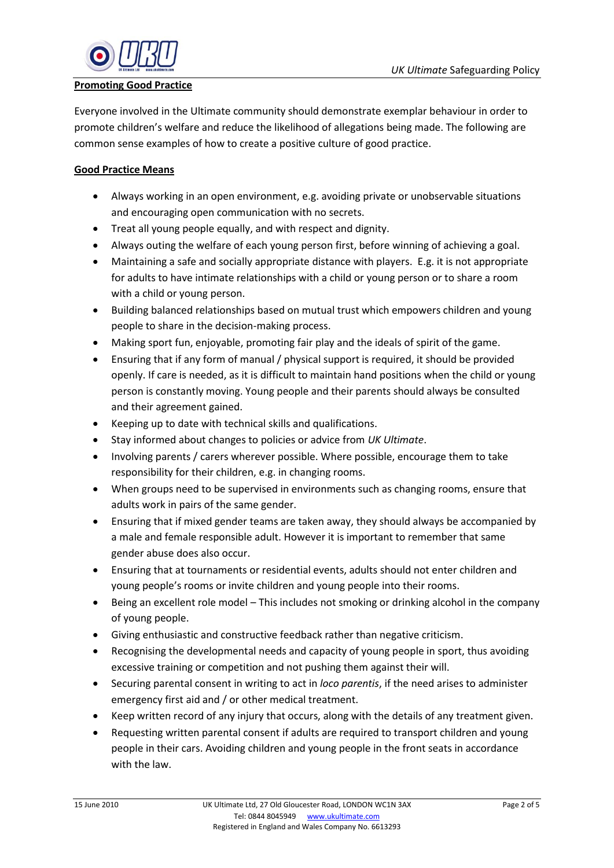

### **Promoting Good Practice**

Everyone involved in the Ultimate community should demonstrate exemplar behaviour in order to promote children's welfare and reduce the likelihood of allegations being made. The following are common sense examples of how to create a positive culture of good practice.

## **Good Practice Means**

- Always working in an open environment, e.g. avoiding private or unobservable situations and encouraging open communication with no secrets.
- Treat all young people equally, and with respect and dignity.
- Always outing the welfare of each young person first, before winning of achieving a goal.
- Maintaining a safe and socially appropriate distance with players. E.g. it is not appropriate for adults to have intimate relationships with a child or young person or to share a room with a child or young person.
- Building balanced relationships based on mutual trust which empowers children and young people to share in the decision-making process.
- Making sport fun, enjoyable, promoting fair play and the ideals of spirit of the game.
- Ensuring that if any form of manual / physical support is required, it should be provided openly. If care is needed, as it is difficult to maintain hand positions when the child or young person is constantly moving. Young people and their parents should always be consulted and their agreement gained.
- Keeping up to date with technical skills and qualifications.
- Stay informed about changes to policies or advice from *UK Ultimate*.
- Involving parents / carers wherever possible. Where possible, encourage them to take responsibility for their children, e.g. in changing rooms.
- When groups need to be supervised in environments such as changing rooms, ensure that adults work in pairs of the same gender.
- Ensuring that if mixed gender teams are taken away, they should always be accompanied by a male and female responsible adult. However it is important to remember that same gender abuse does also occur.
- Ensuring that at tournaments or residential events, adults should not enter children and young people's rooms or invite children and young people into their rooms.
- Being an excellent role model This includes not smoking or drinking alcohol in the company of young people.
- Giving enthusiastic and constructive feedback rather than negative criticism.
- Recognising the developmental needs and capacity of young people in sport, thus avoiding excessive training or competition and not pushing them against their will.
- Securing parental consent in writing to act in *loco parentis*, if the need arises to administer emergency first aid and / or other medical treatment.
- Keep written record of any injury that occurs, along with the details of any treatment given.
- Requesting written parental consent if adults are required to transport children and young people in their cars. Avoiding children and young people in the front seats in accordance with the law.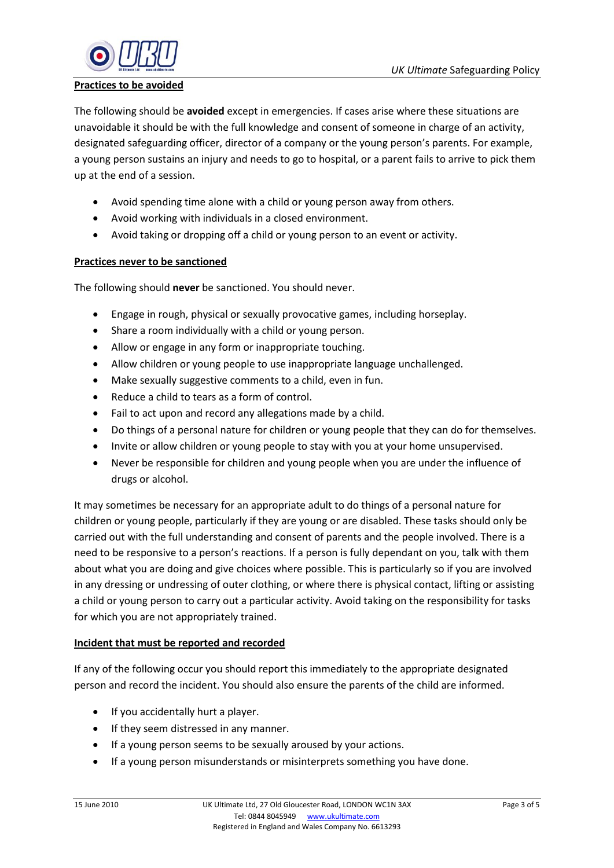

### **Practices to be avoided**

The following should be **avoided** except in emergencies. If cases arise where these situations are unavoidable it should be with the full knowledge and consent of someone in charge of an activity, designated safeguarding officer, director of a company or the young person's parents. For example, a young person sustains an injury and needs to go to hospital, or a parent fails to arrive to pick them up at the end of a session.

- Avoid spending time alone with a child or young person away from others.
- Avoid working with individuals in a closed environment.
- Avoid taking or dropping off a child or young person to an event or activity.

## **Practices never to be sanctioned**

The following should **never** be sanctioned. You should never.

- Engage in rough, physical or sexually provocative games, including horseplay.
- Share a room individually with a child or young person.
- Allow or engage in any form or inappropriate touching.
- Allow children or young people to use inappropriate language unchallenged.
- Make sexually suggestive comments to a child, even in fun.
- Reduce a child to tears as a form of control.
- Fail to act upon and record any allegations made by a child.
- Do things of a personal nature for children or young people that they can do for themselves.
- Invite or allow children or young people to stay with you at your home unsupervised.
- Never be responsible for children and young people when you are under the influence of drugs or alcohol.

It may sometimes be necessary for an appropriate adult to do things of a personal nature for children or young people, particularly if they are young or are disabled. These tasks should only be carried out with the full understanding and consent of parents and the people involved. There is a need to be responsive to a person's reactions. If a person is fully dependant on you, talk with them about what you are doing and give choices where possible. This is particularly so if you are involved in any dressing or undressing of outer clothing, or where there is physical contact, lifting or assisting a child or young person to carry out a particular activity. Avoid taking on the responsibility for tasks for which you are not appropriately trained.

#### **Incident that must be reported and recorded**

If any of the following occur you should report this immediately to the appropriate designated person and record the incident. You should also ensure the parents of the child are informed.

- If you accidentally hurt a player.
- If they seem distressed in any manner.
- If a young person seems to be sexually aroused by your actions.
- If a young person misunderstands or misinterprets something you have done.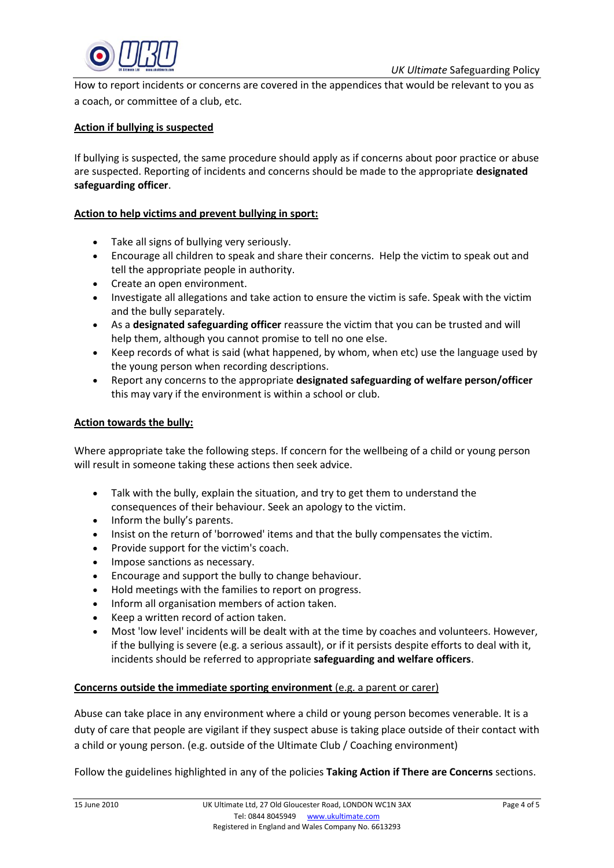

How to report incidents or concerns are covered in the appendices that would be relevant to you as a coach, or committee of a club, etc.

#### **Action if bullying is suspected**

If bullying is suspected, the same procedure should apply as if concerns about poor practice or abuse are suspected. Reporting of incidents and concerns should be made to the appropriate **designated safeguarding officer**.

#### **Action to help victims and prevent bullying in sport:**

- Take all signs of bullying very seriously.
- Encourage all children to speak and share their concerns. Help the victim to speak out and tell the appropriate people in authority.
- Create an open environment.
- Investigate all allegations and take action to ensure the victim is safe. Speak with the victim and the bully separately.
- As a **designated safeguarding officer** reassure the victim that you can be trusted and will help them, although you cannot promise to tell no one else.
- Keep records of what is said (what happened, by whom, when etc) use the language used by the young person when recording descriptions.
- Report any concerns to the appropriate **designated safeguarding of welfare person/officer**  this may vary if the environment is within a school or club.

#### **Action towards the bully:**

Where appropriate take the following steps. If concern for the wellbeing of a child or young person will result in someone taking these actions then seek advice.

- Talk with the bully, explain the situation, and try to get them to understand the consequences of their behaviour. Seek an apology to the victim.
- Inform the bully's parents.
- Insist on the return of 'borrowed' items and that the bully compensates the victim.
- Provide support for the victim's coach.
- Impose sanctions as necessary.
- Encourage and support the bully to change behaviour.
- Hold meetings with the families to report on progress.
- Inform all organisation members of action taken.
- Keep a written record of action taken.
- Most 'low level' incidents will be dealt with at the time by coaches and volunteers. However, if the bullying is severe (e.g. a serious assault), or if it persists despite efforts to deal with it, incidents should be referred to appropriate **safeguarding and welfare officers**.

#### **Concerns outside the immediate sporting environment** (e.g. a parent or carer)

Abuse can take place in any environment where a child or young person becomes venerable. It is a duty of care that people are vigilant if they suspect abuse is taking place outside of their contact with a child or young person. (e.g. outside of the Ultimate Club / Coaching environment)

Follow the guidelines highlighted in any of the policies **Taking Action if There are Concerns** sections.